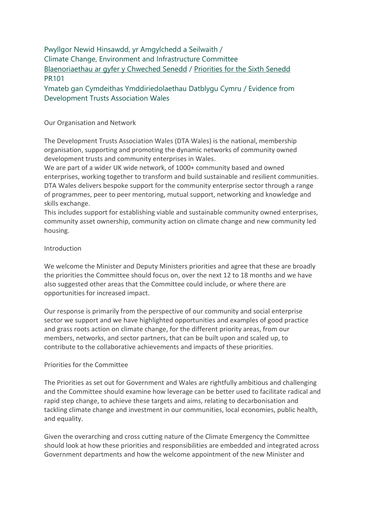# Pwyllgor Newid Hinsawdd, yr Amgylchedd a Seilwaith / Climate Change, Environment and Infrastructure Committee [Blaenoriaethau ar gyfer y Chweched Senedd](https://busnes.senedd.cymru/mgConsultationDisplay.aspx?id=427&RPID=1026452002&cp=yes) / [Priorities for the Sixth Senedd](https://business.senedd.wales/mgConsultationDisplay.aspx?id=427&RPID=1026452002&cp=yes) PR101

Ymateb gan Cymdeithas Ymddiriedolaethau Datblygu Cymru / Evidence from Development Trusts Association Wales

### Our Organisation and Network

The Development Trusts Association Wales (DTA Wales) is the national, membership organisation, supporting and promoting the dynamic networks of community owned development trusts and community enterprises in Wales.

We are part of a wider UK wide network, of 1000+ community based and owned enterprises, working together to transform and build sustainable and resilient communities. DTA Wales delivers bespoke support for the community enterprise sector through a range of programmes, peer to peer mentoring, mutual support, networking and knowledge and skills exchange.

This includes support for establishing viable and sustainable community owned enterprises, community asset ownership, community action on climate change and new community led housing.

### Introduction

We welcome the Minister and Deputy Ministers priorities and agree that these are broadly the priorities the Committee should focus on, over the next 12 to 18 months and we have also suggested other areas that the Committee could include, or where there are opportunities for increased impact.

Our response is primarily from the perspective of our community and social enterprise sector we support and we have highlighted opportunities and examples of good practice and grass roots action on climate change, for the different priority areas, from our members, networks, and sector partners, that can be built upon and scaled up, to contribute to the collaborative achievements and impacts of these priorities.

# Priorities for the Committee

The Priorities as set out for Government and Wales are rightfully ambitious and challenging and the Committee should examine how leverage can be better used to facilitate radical and rapid step change, to achieve these targets and aims, relating to decarbonisation and tackling climate change and investment in our communities, local economies, public health, and equality.

Given the overarching and cross cutting nature of the Climate Emergency the Committee should look at how these priorities and responsibilities are embedded and integrated across Government departments and how the welcome appointment of the new Minister and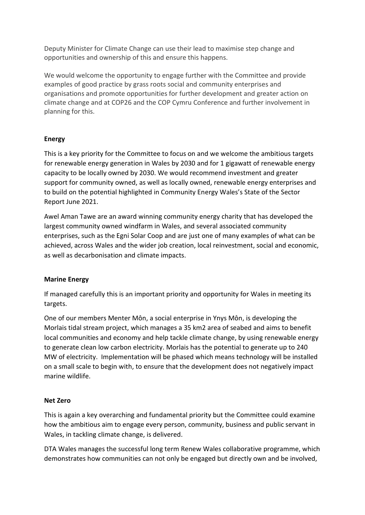Deputy Minister for Climate Change can use their lead to maximise step change and opportunities and ownership of this and ensure this happens.

We would welcome the opportunity to engage further with the Committee and provide examples of good practice by grass roots social and community enterprises and organisations and promote opportunities for further development and greater action on climate change and at COP26 and the COP Cymru Conference and further involvement in planning for this.

# **Energy**

This is a key priority for the Committee to focus on and we welcome the ambitious targets for renewable energy generation in Wales by 2030 and for 1 gigawatt of renewable energy capacity to be locally owned by 2030. We would recommend investment and greater support for community owned, as well as locally owned, renewable energy enterprises and to build on the potential highlighted in Community Energy Wales's State of the Sector Report June 2021.

Awel Aman Tawe are an award winning community energy charity that has developed the largest community owned windfarm in Wales, and several associated community enterprises, such as the Egni Solar Coop and are just one of many examples of what can be achieved, across Wales and the wider job creation, local reinvestment, social and economic, as well as decarbonisation and climate impacts.

# **Marine Energy**

If managed carefully this is an important priority and opportunity for Wales in meeting its targets.

One of our members Menter Môn, a social enterprise in Ynys Môn, is developing the Morlais tidal stream project, which manages a 35 km2 area of seabed and aims to benefit local communities and economy and help tackle climate change, by using renewable energy to generate clean low carbon electricity. Morlais has the potential to generate up to 240 MW of electricity. Implementation will be phased which means technology will be installed on a small scale to begin with, to ensure that the development does not negatively impact marine wildlife.

#### **Net Zero**

This is again a key overarching and fundamental priority but the Committee could examine how the ambitious aim to engage every person, community, business and public servant in Wales, in tackling climate change, is delivered.

DTA Wales manages the successful long term Renew Wales collaborative programme, which demonstrates how communities can not only be engaged but directly own and be involved,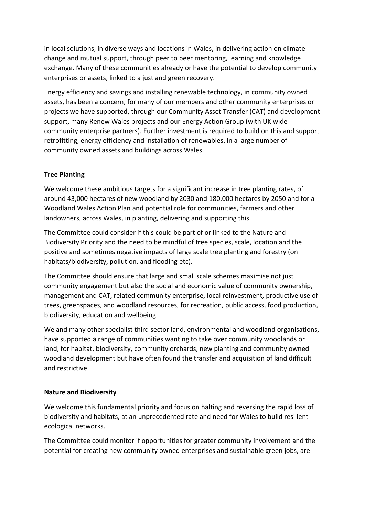in local solutions, in diverse ways and locations in Wales, in delivering action on climate change and mutual support, through peer to peer mentoring, learning and knowledge exchange. Many of these communities already or have the potential to develop community enterprises or assets, linked to a just and green recovery.

Energy efficiency and savings and installing renewable technology, in community owned assets, has been a concern, for many of our members and other community enterprises or projects we have supported, through our Community Asset Transfer (CAT) and development support, many Renew Wales projects and our Energy Action Group (with UK wide community enterprise partners). Further investment is required to build on this and support retrofitting, energy efficiency and installation of renewables, in a large number of community owned assets and buildings across Wales.

# **Tree Planting**

We welcome these ambitious targets for a significant increase in tree planting rates, of around 43,000 hectares of new woodland by 2030 and 180,000 hectares by 2050 and for a Woodland Wales Action Plan and potential role for communities, farmers and other landowners, across Wales, in planting, delivering and supporting this.

The Committee could consider if this could be part of or linked to the Nature and Biodiversity Priority and the need to be mindful of tree species, scale, location and the positive and sometimes negative impacts of large scale tree planting and forestry (on habitats/biodiversity, pollution, and flooding etc).

The Committee should ensure that large and small scale schemes maximise not just community engagement but also the social and economic value of community ownership, management and CAT, related community enterprise, local reinvestment, productive use of trees, greenspaces, and woodland resources, for recreation, public access, food production, biodiversity, education and wellbeing.

We and many other specialist third sector land, environmental and woodland organisations, have supported a range of communities wanting to take over community woodlands or land, for habitat, biodiversity, community orchards, new planting and community owned woodland development but have often found the transfer and acquisition of land difficult and restrictive.

# **Nature and Biodiversity**

We welcome this fundamental priority and focus on halting and reversing the rapid loss of biodiversity and habitats, at an unprecedented rate and need for Wales to build resilient ecological networks.

The Committee could monitor if opportunities for greater community involvement and the potential for creating new community owned enterprises and sustainable green jobs, are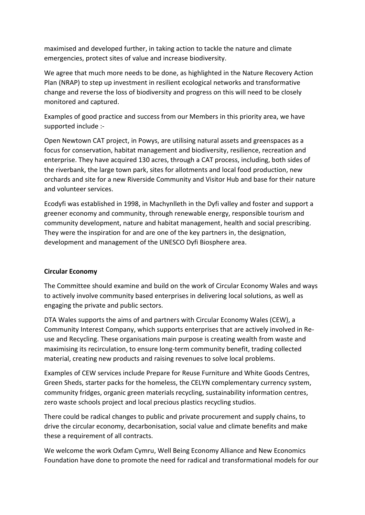maximised and developed further, in taking action to tackle the nature and climate emergencies, protect sites of value and increase biodiversity.

We agree that much more needs to be done, as highlighted in the Nature Recovery Action Plan (NRAP) to step up investment in resilient ecological networks and transformative change and reverse the loss of biodiversity and progress on this will need to be closely monitored and captured.

Examples of good practice and success from our Members in this priority area, we have supported include :-

Open Newtown CAT project, in Powys, are utilising natural assets and greenspaces as a focus for conservation, habitat management and biodiversity, resilience, recreation and enterprise. They have acquired 130 acres, through a CAT process, including, both sides of the riverbank, the large town park, sites for allotments and local food production, new orchards and site for a new Riverside Community and Visitor Hub and base for their nature and volunteer services.

Ecodyfi was established in 1998, in Machynlleth in the Dyfi valley and foster and support a greener economy and community, through renewable energy, responsible tourism and community development, nature and habitat management, health and social prescribing. They were the inspiration for and are one of the key partners in, the designation, development and management of the UNESCO Dyfi Biosphere area.

# **Circular Economy**

The Committee should examine and build on the work of Circular Economy Wales and ways to actively involve community based enterprises in delivering local solutions, as well as engaging the private and public sectors.

DTA Wales supports the aims of and partners with Circular Economy Wales (CEW), a Community Interest Company, which supports enterprises that are actively involved in Reuse and Recycling. These organisations main purpose is creating wealth from waste and maximising its recirculation, to ensure long-term community benefit, trading collected material, creating new products and raising revenues to solve local problems.

Examples of CEW services include Prepare for Reuse Furniture and White Goods Centres, Green Sheds, starter packs for the homeless, the CELYN complementary currency system, community fridges, organic green materials recycling, sustainability information centres, zero waste schools project and local precious plastics recycling studios.

There could be radical changes to public and private procurement and supply chains, to drive the circular economy, decarbonisation, social value and climate benefits and make these a requirement of all contracts.

We welcome the work Oxfam Cymru, Well Being Economy Alliance and New Economics Foundation have done to promote the need for radical and transformational models for our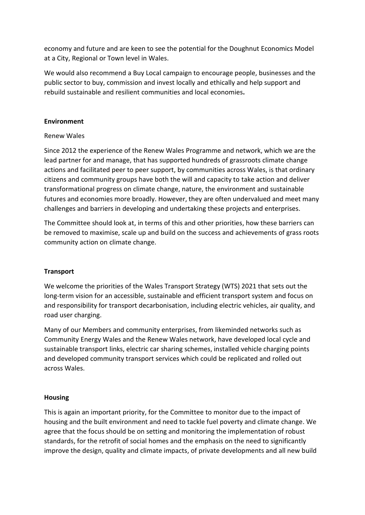economy and future and are keen to see the potential for the Doughnut Economics Model at a City, Regional or Town level in Wales.

We would also recommend a Buy Local campaign to encourage people, businesses and the public sector to buy, commission and invest locally and ethically and help support and rebuild sustainable and resilient communities and local economies**.**

### **Environment**

### Renew Wales

Since 2012 the experience of the Renew Wales Programme and network, which we are the lead partner for and manage, that has supported hundreds of grassroots climate change actions and facilitated peer to peer support, by communities across Wales, is that ordinary citizens and community groups have both the will and capacity to take action and deliver transformational progress on climate change, nature, the environment and sustainable futures and economies more broadly. However, they are often undervalued and meet many challenges and barriers in developing and undertaking these projects and enterprises.

The Committee should look at, in terms of this and other priorities, how these barriers can be removed to maximise, scale up and build on the success and achievements of grass roots community action on climate change.

#### **Transport**

We welcome the priorities of the Wales Transport Strategy (WTS) 2021 that sets out the long-term vision for an accessible, sustainable and efficient transport system and focus on and responsibility for transport decarbonisation, including electric vehicles, air quality, and road user charging.

Many of our Members and community enterprises, from likeminded networks such as Community Energy Wales and the Renew Wales network, have developed local cycle and sustainable transport links, electric car sharing schemes, installed vehicle charging points and developed community transport services which could be replicated and rolled out across Wales.

#### **Housing**

This is again an important priority, for the Committee to monitor due to the impact of housing and the built environment and need to tackle fuel poverty and climate change. We agree that the focus should be on setting and monitoring the implementation of robust standards, for the retrofit of social homes and the emphasis on the need to significantly improve the design, quality and climate impacts, of private developments and all new build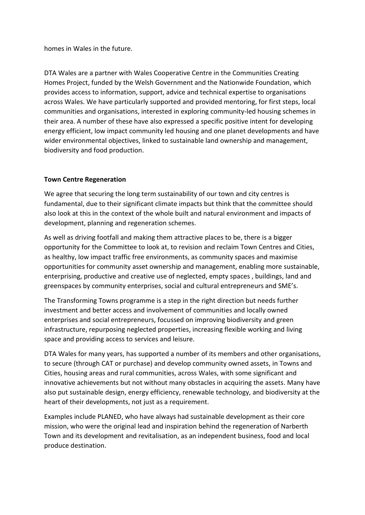homes in Wales in the future.

DTA Wales are a partner with Wales Cooperative Centre in the Communities Creating Homes Project, funded by the Welsh Government and the Nationwide Foundation, which provides access to information, support, advice and technical expertise to organisations across Wales. We have particularly supported and provided mentoring, for first steps, local communities and organisations, interested in exploring community-led housing schemes in their area. A number of these have also expressed a specific positive intent for developing energy efficient, low impact community led housing and one planet developments and have wider environmental objectives, linked to sustainable land ownership and management, biodiversity and food production.

# **Town Centre Regeneration**

We agree that securing the long term sustainability of our town and city centres is fundamental, due to their significant climate impacts but think that the committee should also look at this in the context of the whole built and natural environment and impacts of development, planning and regeneration schemes.

As well as driving footfall and making them attractive places to be, there is a bigger opportunity for the Committee to look at, to revision and reclaim Town Centres and Cities, as healthy, low impact traffic free environments, as community spaces and maximise opportunities for community asset ownership and management, enabling more sustainable, enterprising, productive and creative use of neglected, empty spaces , buildings, land and greenspaces by community enterprises, social and cultural entrepreneurs and SME's.

The Transforming Towns programme is a step in the right direction but needs further investment and better access and involvement of communities and locally owned enterprises and social entrepreneurs, focussed on improving biodiversity and green infrastructure, repurposing neglected properties, increasing flexible working and living space and providing access to services and leisure.

DTA Wales for many years, has supported a number of its members and other organisations, to secure (through CAT or purchase) and develop community owned assets, in Towns and Cities, housing areas and rural communities, across Wales, with some significant and innovative achievements but not without many obstacles in acquiring the assets. Many have also put sustainable design, energy efficiency, renewable technology, and biodiversity at the heart of their developments, not just as a requirement.

Examples include PLANED, who have always had sustainable development as their core mission, who were the original lead and inspiration behind the regeneration of Narberth Town and its development and revitalisation, as an independent business, food and local produce destination.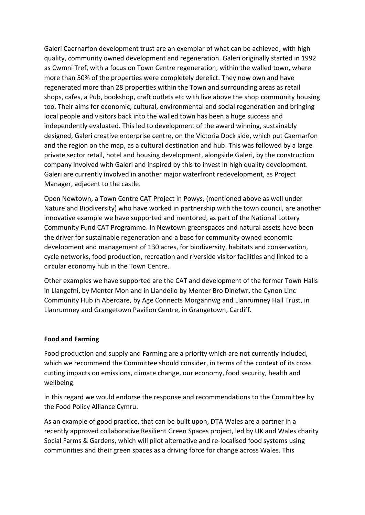Galeri Caernarfon development trust are an exemplar of what can be achieved, with high quality, community owned development and regeneration. Galeri originally started in 1992 as Cwmni Tref, with a focus on Town Centre regeneration, within the walled town, where more than 50% of the properties were completely derelict. They now own and have regenerated more than 28 properties within the Town and surrounding areas as retail shops, cafes, a Pub, bookshop, craft outlets etc with live above the shop community housing too. Their aims for economic, cultural, environmental and social regeneration and bringing local people and visitors back into the walled town has been a huge success and independently evaluated. This led to development of the award winning, sustainably designed, Galeri creative enterprise centre, on the Victoria Dock side, which put Caernarfon and the region on the map, as a cultural destination and hub. This was followed by a large private sector retail, hotel and housing development, alongside Galeri, by the construction company involved with Galeri and inspired by this to invest in high quality development. Galeri are currently involved in another major waterfront redevelopment, as Project Manager, adjacent to the castle.

Open Newtown, a Town Centre CAT Project in Powys, (mentioned above as well under Nature and Biodiversity) who have worked in partnership with the town council, are another innovative example we have supported and mentored, as part of the National Lottery Community Fund CAT Programme. In Newtown greenspaces and natural assets have been the driver for sustainable regeneration and a base for community owned economic development and management of 130 acres, for biodiversity, habitats and conservation, cycle networks, food production, recreation and riverside visitor facilities and linked to a circular economy hub in the Town Centre.

Other examples we have supported are the CAT and development of the former Town Halls in Llangefni, by Menter Mon and in Llandeilo by Menter Bro Dinefwr, the Cynon Linc Community Hub in Aberdare, by Age Connects Morgannwg and Llanrumney Hall Trust, in Llanrumney and Grangetown Pavilion Centre, in Grangetown, Cardiff.

#### **Food and Farming**

Food production and supply and Farming are a priority which are not currently included, which we recommend the Committee should consider, in terms of the context of its cross cutting impacts on emissions, climate change, our economy, food security, health and wellbeing.

In this regard we would endorse the response and recommendations to the Committee by the Food Policy Alliance Cymru.

As an example of good practice, that can be built upon, DTA Wales are a partner in a recently approved collaborative Resilient Green Spaces project, led by UK and Wales charity Social Farms & Gardens, which will pilot alternative and re-localised food systems using communities and their green spaces as a driving force for change across Wales. This